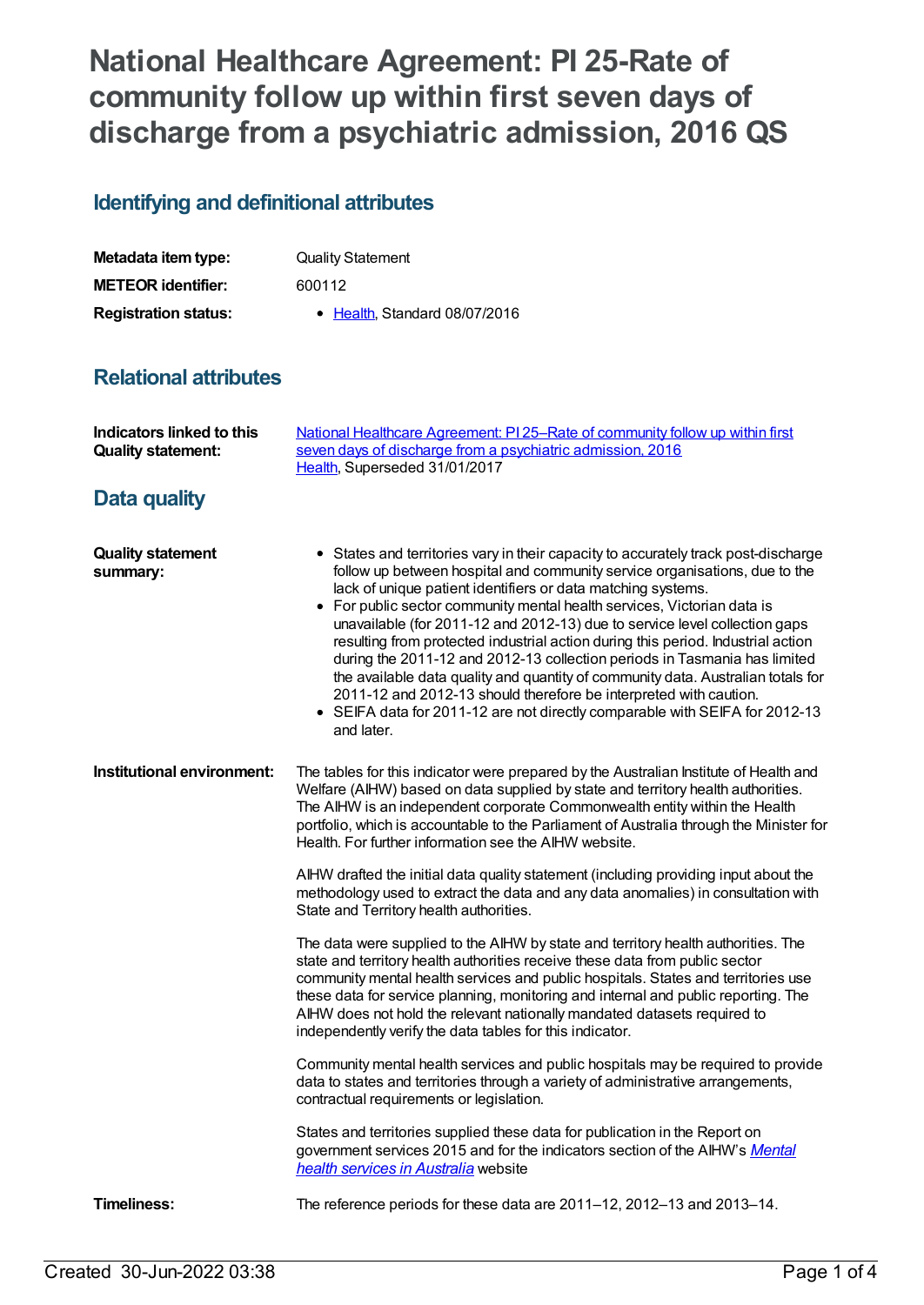## **National Healthcare Agreement: PI 25-Rate of community follow up within first seven days of discharge from a psychiatric admission, 2016 QS**

## **Identifying and definitional attributes**

| Metadata item type:         | <b>Quality Statement</b>     |
|-----------------------------|------------------------------|
| <b>METEOR identifier:</b>   | 600112                       |
| <b>Registration status:</b> | • Health Standard 08/07/2016 |

## **Relational attributes**

| Indicators linked to this<br><b>Quality statement:</b> | National Healthcare Agreement: PI 25-Rate of community follow up within first<br>seven days of discharge from a psychiatric admission, 2016<br>Health, Superseded 31/01/2017                                                                                                                                                                                                                                                                                                                                                                                                                                                                                                                                                                                                                                     |
|--------------------------------------------------------|------------------------------------------------------------------------------------------------------------------------------------------------------------------------------------------------------------------------------------------------------------------------------------------------------------------------------------------------------------------------------------------------------------------------------------------------------------------------------------------------------------------------------------------------------------------------------------------------------------------------------------------------------------------------------------------------------------------------------------------------------------------------------------------------------------------|
| <b>Data quality</b>                                    |                                                                                                                                                                                                                                                                                                                                                                                                                                                                                                                                                                                                                                                                                                                                                                                                                  |
| <b>Quality statement</b><br>summary:                   | • States and territories vary in their capacity to accurately track post-discharge<br>follow up between hospital and community service organisations, due to the<br>lack of unique patient identifiers or data matching systems.<br>• For public sector community mental health services, Victorian data is<br>unavailable (for 2011-12 and 2012-13) due to service level collection gaps<br>resulting from protected industrial action during this period. Industrial action<br>during the 2011-12 and 2012-13 collection periods in Tasmania has limited<br>the available data quality and quantity of community data. Australian totals for<br>2011-12 and 2012-13 should therefore be interpreted with caution.<br>• SEIFA data for 2011-12 are not directly comparable with SEIFA for 2012-13<br>and later. |
| Institutional environment:                             | The tables for this indicator were prepared by the Australian Institute of Health and<br>Welfare (AIHW) based on data supplied by state and territory health authorities.<br>The AIHW is an independent corporate Commonwealth entity within the Health<br>portfolio, which is accountable to the Parliament of Australia through the Minister for<br>Health. For further information see the AIHW website.                                                                                                                                                                                                                                                                                                                                                                                                      |
|                                                        | AIHW drafted the initial data quality statement (including providing input about the<br>methodology used to extract the data and any data anomalies) in consultation with<br>State and Territory health authorities.                                                                                                                                                                                                                                                                                                                                                                                                                                                                                                                                                                                             |
|                                                        | The data were supplied to the AIHW by state and territory health authorities. The<br>state and territory health authorities receive these data from public sector<br>community mental health services and public hospitals. States and territories use<br>these data for service planning, monitoring and internal and public reporting. The<br>AIHW does not hold the relevant nationally mandated datasets required to<br>independently verify the data tables for this indicator.                                                                                                                                                                                                                                                                                                                             |
|                                                        | Community mental health services and public hospitals may be required to provide<br>data to states and territories through a variety of administrative arrangements,<br>contractual requirements or legislation.                                                                                                                                                                                                                                                                                                                                                                                                                                                                                                                                                                                                 |
|                                                        | States and territories supplied these data for publication in the Report on<br>government services 2015 and for the indicators section of the AIHW's Mental<br>health services in Australia website                                                                                                                                                                                                                                                                                                                                                                                                                                                                                                                                                                                                              |
| <b>Timeliness:</b>                                     | The reference periods for these data are 2011-12, 2012-13 and 2013-14.                                                                                                                                                                                                                                                                                                                                                                                                                                                                                                                                                                                                                                                                                                                                           |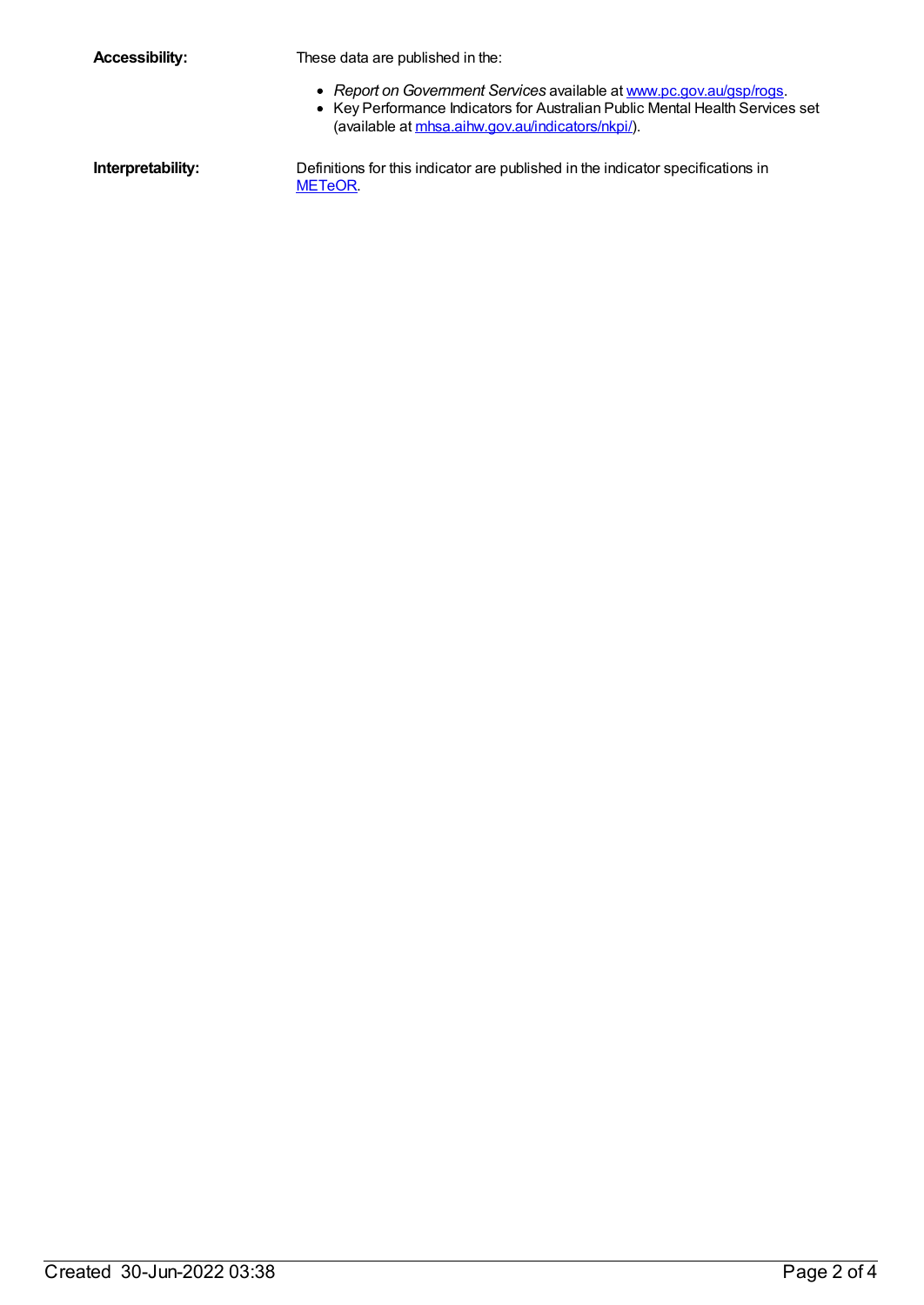| <b>Accessibility:</b> |  |
|-----------------------|--|
|-----------------------|--|

These data are published in the:

- *Report on Government Services* available at [www.pc.gov.au/gsp/rogs](http://www.pc.gov.au/gsp/rogs).
- Key Performance Indicators for Australian Public Mental Health Services set (available at [mhsa.aihw.gov.au/indicators/nkpi/](https://meteor.aihw.gov.au//mhsa.aihw.gov.au/indicators/nkpi/)).

**Interpretability:** Definitions for this indicator are published in the indicator specifications in [METeOR](https://meteor.aihw.gov.au//meteor.aihw.gov.au/content/index.phtml/itemId/517630).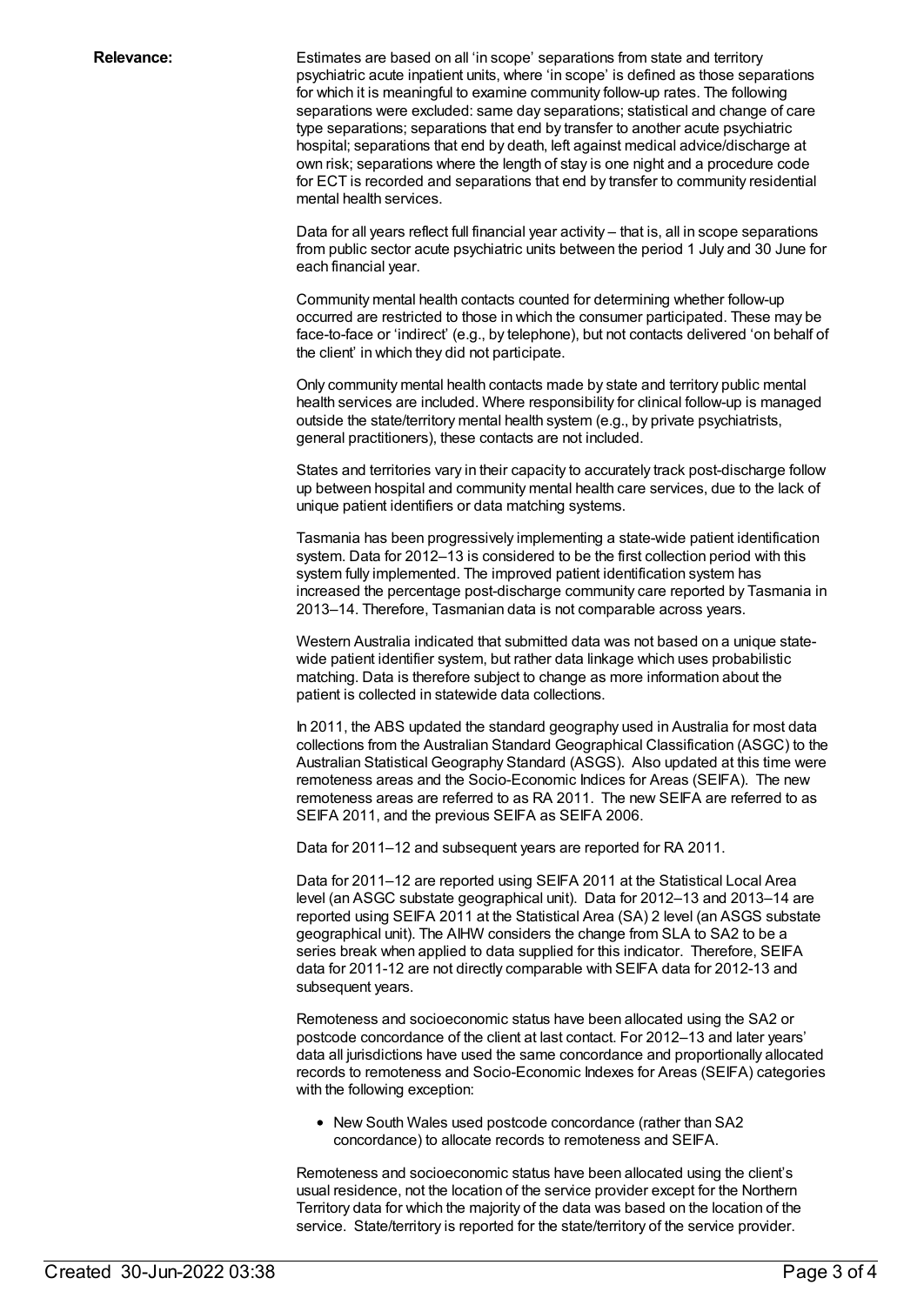**Relevance:** Estimates are based on all 'in scope' separations from state and territory psychiatric acute inpatient units, where 'in scope' is defined as those separations for which it is meaningful to examine community follow-up rates. The following separations were excluded: same day separations; statistical and change of care type separations; separations that end by transfer to another acute psychiatric hospital; separations that end by death, left against medical advice/discharge at own risk; separations where the length of stay is one night and a procedure code for ECT is recorded and separations that end by transfer to community residential mental health services.

> Data for all years reflect full financial year activity – that is, all in scope separations from public sector acute psychiatric units between the period 1 July and 30 June for each financial year.

> Community mental health contacts counted for determining whether follow-up occurred are restricted to those in which the consumer participated. These may be face-to-face or 'indirect' (e.g., by telephone), but not contacts delivered 'on behalf of the client' in which they did not participate.

Only community mental health contacts made by state and territory public mental health services are included. Where responsibility for clinical follow-up is managed outside the state/territory mental health system (e.g., by private psychiatrists, general practitioners), these contacts are not included.

States and territories vary in their capacity to accurately track post-discharge follow up between hospital and community mental health care services, due to the lack of unique patient identifiers or data matching systems.

Tasmania has been progressively implementing a state-wide patient identification system. Data for 2012–13 is considered to be the first collection period with this system fully implemented. The improved patient identification system has increased the percentage post-discharge community care reported by Tasmania in 2013–14. Therefore, Tasmanian data is not comparable across years.

Western Australia indicated that submitted data was not based on a unique statewide patient identifier system, but rather data linkage which uses probabilistic matching. Data is therefore subject to change as more information about the patient is collected in statewide data collections.

In 2011, the ABS updated the standard geography used in Australia for most data collections from the Australian Standard Geographical Classification (ASGC) to the Australian Statistical Geography Standard (ASGS). Also updated at this time were remoteness areas and the Socio-Economic Indices for Areas (SEIFA). The new remoteness areas are referred to as RA 2011. The new SEIFA are referred to as SEIFA 2011, and the previous SEIFA as SEIFA 2006.

Data for 2011–12 and subsequent years are reported for RA 2011.

Data for 2011–12 are reported using SEIFA 2011 at the Statistical Local Area level (an ASGC substate geographical unit). Data for 2012–13 and 2013–14 are reported using SEIFA 2011 at the Statistical Area (SA) 2 level (an ASGS substate geographical unit). The AIHW considers the change from SLA to SA2 to be a series break when applied to data supplied for this indicator. Therefore, SEIFA data for 2011-12 are not directly comparable with SEIFA data for 2012-13 and subsequent years.

Remoteness and socioeconomic status have been allocated using the SA2 or postcode concordance of the client at last contact. For 2012–13 and later years' data all jurisdictions have used the same concordance and proportionally allocated records to remoteness and Socio-Economic Indexes for Areas (SEIFA) categories with the following exception:

New South Wales used postcode concordance (rather than SA2 concordance) to allocate records to remoteness and SEIFA.

Remoteness and socioeconomic status have been allocated using the client's usual residence, not the location of the service provider except for the Northern Territory data for which the majority of the data was based on the location of the service. State/territory is reported for the state/territory of the service provider.